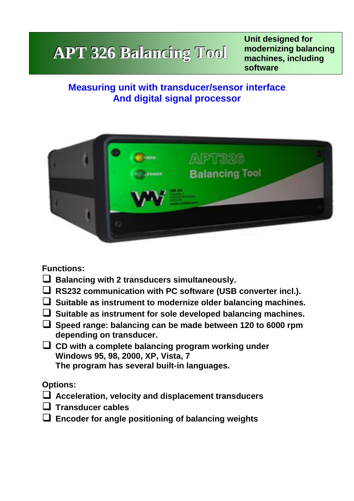# **APT 326 Balancing Tool**

**Unit designed for modernizing balancing machines, including software** 

## **Measuring unit with transducer/sensor interface Balancing softwareAnd digital signal processor with**



**Functions:**

- **Balancing with 2 transducers simultaneously.**
- **RS232 communication with PC software (USB converter incl.).**
- **Suitable as instrument to modernize older balancing machines.**
- **Suitable as instrument for sole developed balancing machines.**
- **Speed range: balancing can be made between 120 to 6000 rpm depending on transducer.**
- **CD with a complete balancing program working under Windows 95, 98, 2000, XP, Vista, 7 The program has several built-in languages.**

## **Options:**

- **Acceleration, velocity and displacement transducers**
- **Transducer cables**
- **Encoder for angle positioning of balancing weights**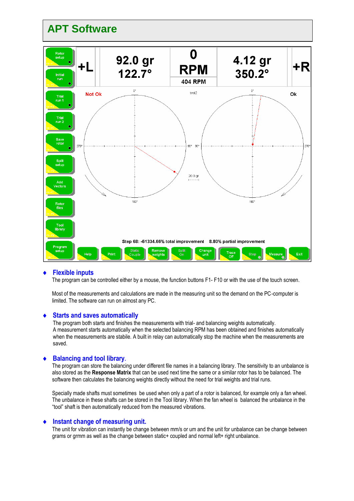

#### **Flexible inputs**

The program can be controlled either by a mouse, the function buttons F1- F10 or with the use of the touch screen.

Most of the measurements and calculations are made in the measuring unit so the demand on the PC-computer is limited. The software can run on almost any PC.

#### **Starts and saves automatically**

The program both starts and finishes the measurements with trial- and balancing weights automatically. A measurement starts automatically when the selected balancing RPM has been obtained and finishes automatically when the measurements are stabile. A built in relay can automatically stop the machine when the measurements are saved.

#### **Balancing and tool library.**

The program can store the balancing under different file names in a balancing library. The sensitivity to an unbalance is also stored as the **Response Matrix** that can be used next time the same or a similar rotor has to be balanced. The software then calculates the balancing weights directly without the need for trial weights and trial runs.

Specially made shafts must sometimes be used when only a part of a rotor is balanced, for example only a fan wheel. The unbalance in these shafts can be stored in the Tool library. When the fan wheel is balanced the unbalance in the "tool" shaft is then automatically reduced from the measured vibrations.

#### **Instant change of measuring unit.**

The unit for vibration can instantly be change between mm/s or um and the unit for unbalance can be change between grams or grmm as well as the change between static+ coupled and normal left+ right unbalance.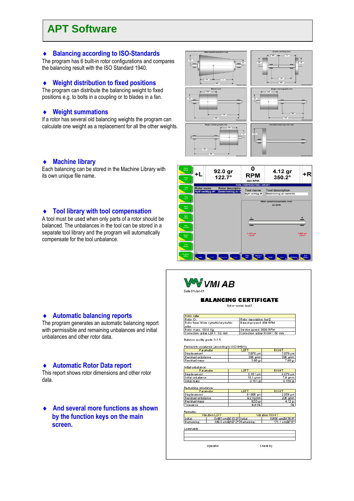## **APT Software**

#### **Balancing according to ISO-Standards**

The program has 6 built-in rotor configurations and compares the balancing result with the ISO Standard 1940.

#### **Weight distribution to fixed positions**

The program can distribute the balancing weight to fixed positions e.g. to bolts in a coupling or to blades in a fan.

#### **Weight summations**

If a rotor has several old balancing weights the program can calculate one weight as a replacement for all the other weights.



#### **Machine library**

Each balancing can be stored in the Machine Library with its own unique file name.

#### **Tool library with tool compensation**

A tool must be used when only parts of a rotor should be balanced. The unbalances in the tool can be stored in a separate tool library and the program will automatically compensate for the tool unbalance.





#### **BALANCING CERTIFICATE**

Rotor name: test2

| Rotor data                          |                                |  |
|-------------------------------------|--------------------------------|--|
| Rotor ID:                           | Rotor description: test2       |  |
| Rotor type: Wide symetric/asymetric | Balacing speed: 404 RPM        |  |
| <b>I</b> rotor                      |                                |  |
| Rotor mass: 100.0 Kg                | Service speed: 3000 RPM        |  |
| Correction radius LEFT: 100 mm      | Correction radius RIGHT: 50 mm |  |

Balance quality grade G 2.5

| Permisible unbalance (according to ISO1940/1): |                            |                            |                 |  |
|------------------------------------------------|----------------------------|----------------------------|-----------------|--|
| <b>P</b> ar ameter                             |                            | <b>LEFT</b>                | <b>RIGHT</b>    |  |
| Displacement                                   |                            | 3.979 um                   | 3.979 um        |  |
| Residual unbalance                             |                            | 398 gmm                    | 398 gmm         |  |
| Residual mass                                  |                            | 3.98 ar                    | 7.96 gr         |  |
| Initial unbalance:                             |                            |                            |                 |  |
| P ar ameter                                    |                            | <b>LEFT</b>                | <b>RIGHT</b>    |  |
| Displacement                                   |                            | $0.161 \,\mathrm{\upmu m}$ | $0.079 \,\mu m$ |  |
| Initial unbalance                              |                            | $16.1$ gmm                 | 7.9 gmm         |  |
| Initial mass                                   |                            | $0.161$ ar                 | $0.158$ gr      |  |
| Remaining unbalance:<br><b>P</b> ar ameter     |                            | <b>LEFT</b>                | <b>RIGHT</b>    |  |
| Displacement                                   |                            | 91.988 um                  | 2.059 µm        |  |
| Residual unbalance                             |                            | 92 Kgmm                    | 206_gmm         |  |
| Residual mass                                  |                            | 92.0 gr                    | $4.12$ gr       |  |
| Tolerance                                      |                            | Not Ok                     | Ωk              |  |
| Remarks:                                       |                            |                            |                 |  |
| Vibration LEFT                                 |                            |                            | Vibration RIGHT |  |
| Initial:                                       | 0.466 um@213.9" Initial:   |                            | 0.656 um@176.5° |  |
| Remaining:                                     | 449.6 um@187.0" Remaining: |                            | 171.1 um@7.5"   |  |
| Comments:                                      |                            |                            |                 |  |
|                                                |                            |                            |                 |  |
|                                                |                            |                            |                 |  |
|                                                |                            |                            |                 |  |
| Operator                                       |                            |                            | Check by        |  |

#### **Automatic balancing reports**

The program generates an automatic balancing report with permissible and remaining unbalances and initial unbalances and other rotor data.

#### **Automatic Rotor Data report**

This report shows rotor dimensions and other rotor data.

 **And several more functions as shown by the function keys on the main screen.**